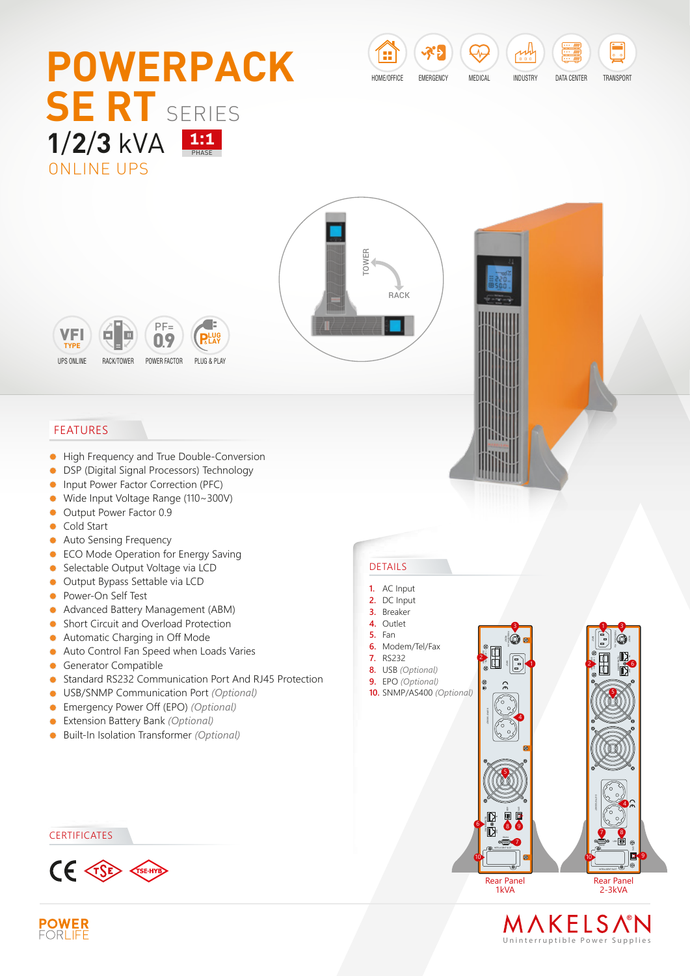# ONLINE UPS **1/2/3** kVA **1:1 POWERPACK SE RT** SERIES

ᢢ HOME/OFFICE EMERGENCY MEDICAL INDUSTRY

DATA CENTER TRANSPORT





### FEATURES

- $\bullet$ High Frequency and True Double-Conversion
- **DSP (Digital Signal Processors) Technology**
- $\bullet$ Input Power Factor Correction (PFC)
- Wide Input Voltage Range (110~300V)  $\bullet$
- Output Power Factor 0.9
- **Cold Start**
- Auto Sensing Frequency  $\bullet$
- **ECO Mode Operation for Energy Saving**
- Selectable Output Voltage via LCD
- Output Bypass Settable via LCD
- **•** Power-On Self Test
- Advanced Battery Management (ABM)
- **Short Circuit and Overload Protection**
- Automatic Charging in Off Mode  $\bullet$
- Auto Control Fan Speed when Loads Varies  $\bullet$
- **Generator Compatible**
- Standard RS232 Communication Port And RJ45 Protection  $\bullet$
- USB/SNMP Communication Port *(Optional)*
- Emergency Power Off (EPO) *(Optional)*
- Extension Battery Bank *(Optional)*
- Built-In Isolation Transformer *(Optional)*  $\bullet$

#### **CERTIFICATES**



#### DETAILS

- **1.** AC Input
- **2.** DC Input
- **3.** Breaker
- **4.** Outlet
- **5.** Fan
- **6.** Modem/Tel/Fax **7.** RS232
- **8.** USB *(Optional)*
- **9.** EPO *(Optional)*
- **10.** SNMP/AS400 *(Optional)*



10

INPUT RESET FUSE 250VAC, 8A

3

1

EXT. BATTERY + 24VDC 45A

2

Rear Panel 1kVA



7 8

10

4

9

FUSE 250VAC, 15A

5

 $1 = 3$ 

6

EXT. BATTERY + 48VDC 45A -

2

## MAKELSNM Uninterruptible Power Supplie s